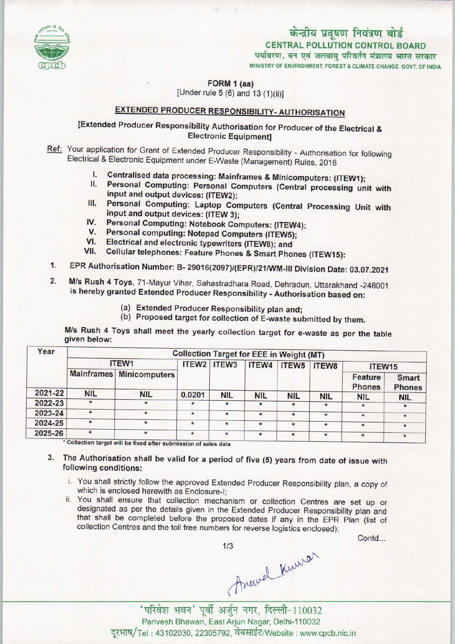

# केन्द्रीय प्रदूषण नियंत्रण बोर्ड CENTRAL POLLUTION CONTROL BOARD<br>पर्यावरण, वन एवं जलवाय परिवर्तन मंत्रालय भारत सरकार

MINISTRY OF ENVIRONMENT, FOREST & CLIMATE CHANGE GOVT. OF INDIA

FORM 1 (aa) [Under rule  $5(6)$  and  $13(1)(ii)$ ]

## EXTENDED PRODUCER RESPONSIBILITY- AUTHORISATION

### [Extended Producer Responsibility Authorisation for Producer of the Electrical & Electronic Equipment]

Ref: Your application for Grant of Extended Producer Responsibility - Authorisation for following Electrical & Electronic Equipment under E-Waste (Management) Rules, 2016

- I. Centralised data processing: Mainframes & Minicomputers: (ITEW1);<br>II. Personal Computing: Personal Computers (Central procession)
- Personal Computing: Personal Computers (Central processing unit with input and output devices: (ITEW2);
- III. Personal Computing: Laptop Computers (Central Processing Unit with input and output devices: (ITEW 3); IV. Personal Computing: Laptop Computers (Central<br>
liput and output devices: (ITEW 3);<br>
IV. Personal Computing: Notebook Computers: (ITEW4);
- 
- V. Personal Computing: Notebook Computers: (ITEW<br>V. Personal computing: Notepad Computers (ITEW5); IV. Personal Computing: Notebook Computers: (ITEW4<br>V. Personal computing: Notepad Computers (ITEW5);<br>VI. Electrical and electronic typewriters (ITEW8); and<br>VII. Cellular telephones: Feature Phones & Smart Phone
- 
- Cellular telephones: Feature Phones & Smart Phones (ITEW15):
- 1. Electrical and electronic typewriters (ITEW8); and<br>1. Cellular telephones: Feature Phones & Smart Phones (ITEW15):<br>1. EPR Authorisation Number: B- 29016(2097)/(EPR)/21/WM-III Division Date: 03.07.2021
- 1. EPR Authorisation Number: B- 29016(2097)/(EPR)/21/WM-III Division Date: 03.07.2021<br>2. M/s Rush 4 Toys, 71-Mayur Vihar, Sahastradhara Road, Dehradun, Uttarakhand -248001 M/s Rush 4 Toys, 71-Mayur Vihar, Sahastradhara Road, Dehradun, Uttarakhand -248001 is hereby granted Extended Producer Responsibility - Authorisation based on:
	- (a)Extended Producer Responsibility plan and;
	- (b) Proposed target for collection of E-waste submitted by them.

M/s Rush 4 Toys shall meet the yearly collection target for e-waste as per the table given below:

| ITEW1      |            |         |                          | ITEW4       | ITEW <sub>5</sub> | ITEW8      | ITEW15                                                        |                               |
|------------|------------|---------|--------------------------|-------------|-------------------|------------|---------------------------------------------------------------|-------------------------------|
|            |            |         |                          |             |                   |            | Feature                                                       | <b>Smart</b><br><b>Phones</b> |
| <b>NIL</b> | <b>NIL</b> | 0.0201  | <b>NIL</b>               |             |                   |            |                                                               | <b>NIL</b>                    |
| $\star$    | $\star$    | $\star$ | $\star$                  | $\star$     | $\star$           | $\star$    |                                                               |                               |
| $\star$    | $\star$    | $\star$ | $\star$                  | $\star$     | $\star$           | $\star$    | $\star$                                                       | $*$                           |
| $\star$    | $\star$    | $\star$ | $\star$                  | $\star$     | $\star$           | $\star$    | $\star$                                                       | $\star$                       |
| $\star$    |            | $\star$ | $\star$                  | $\star$     | $\star$           | $\star$    | $\star$                                                       | $\star$                       |
|            |            |         | Mainframes Minicomputers | ITEW2 ITEW3 | <b>NIL</b>        | <b>NIL</b> | <b>Collection Target for EEE in Weight (MT)</b><br><b>NIL</b> | <b>Phones</b><br><b>NIL</b>   |

- 3. The Authorisation shall be valid for a period of five (5) years from date of issue with following conditions:
	- i. You shall strictly follow the approved Extended Producer Responsibility plan, a copy of which is enclosed herewith as Enclosure-I;
	- ii. You shall ensure that collection mechanism or collection Centres are set up or designated as per the details given in the Extended Producer Responsibility plan and that shall be completed before the proposed dates if any in the EPR Plan (list of collection Centres and the toll free numbers for reverse logistics enclosed);

Contd...

1/3<br>Arewell Kuwal<br>पूर्वी अर्जुन नगर, दिल्ली-110032<br>Panszas वेबसाईट/Website: www.c

'परिवेश भवन' पूर्वी अर्जुन नगर, दिल्ली-110032<br>Parivesh Bhawan, East Arjun Nagar, Delhi-110032 दूरभाष/Tel: 43102030, 22305792, वेबसाईट/Website : www.cpcb.nic.in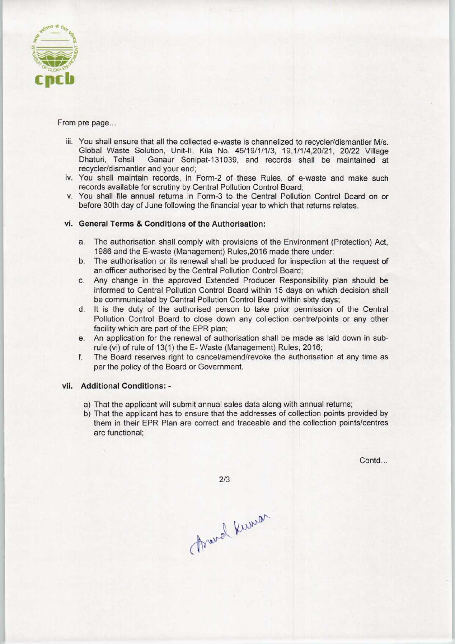

#### From pre page...

- iii. You shall ensure that all the collected e-waste is channelized to recycler/dismantler M/s. Global Waste Solution, Unit-II, Kila No. 45/19/1/1/3, 19,1/1/4,20/21, 20/22 Village<br>Dhaturi, Tehsil Ganaur Sonipat-131039, and records shall be maintained at Ganaur Sonipat-131039, and records shall be maintained at recycler/dismantler and your end;
- iv. You shall maintain records, in Form-2 of these Rules, of e-waste and make such records available for scrutiny by Central Pollution Control Board;
- v. You shall file annual returns in Form-3 to the Central Pollution Control Board on or before 30th day of June following the financial year to which that returns relates.

#### vi. General Terms & Conditions of the Authorisation:

- a.The authorisation shall comply with provisions of the Environment (Protection) Act, 1986 and the E-waste (Management) Rules,2016 made there under;
- b.The authorisation or its renewal shall be produced for inspection at the request of an officer authorised by the Central Pollution Control Board;
- c.Any change in the approved Extended Producer Responsibility plan should be informed to Central Pollution Control Board within 15 days on which decision shall be communicated by Central Pollution Control Board within sixty days;
- d. It is the duty of the authorised person to take prior permission of the Central Pollution Control Board to close down any collection centre/points or any other facility which are part of the EPR plan;
- e.An application for the renewal of authorisation shall be made as laid down in subrule (vi) of rule of 13(1) the E- Waste (Management) Rules, 2016;
- f. The Board reserves right to cancel/amend/revoke the authorisation at any time as per the policy of the Board or Government.

#### vii. Additional Conditions: -

- a) That the applicant will submit annual sales data along with annual returns;
- b) That the applicant has to ensure that the addresses of collection points provided by them in their EPR Plan are correct and traceable and the collection points/centres are functional;

Contd...

 $2/3$ 

Franch Kuman